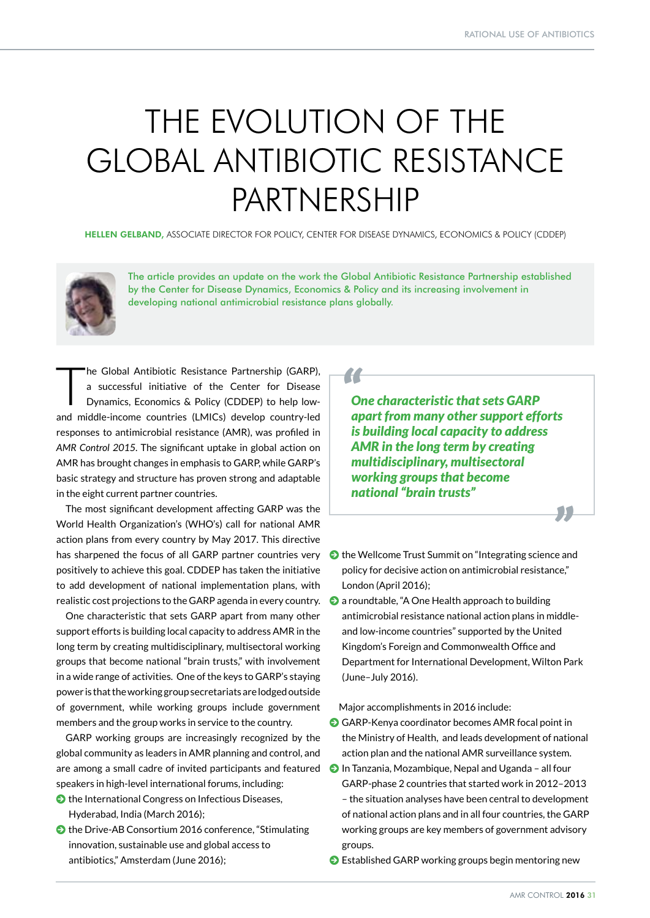## THE EVOLUTION OF THE GLOBAL ANTIBIOTIC RESISTANCE PARTNERSHIP

HELLEN GELBAND, ASSOCIATE DIRECTOR FOR POLICY, CENTER FOR DISEASE DYNAMICS, ECONOMICS & POLICY (CDDEP)



The article provides an update on the work the Global Antibiotic Resistance Partnership established by the Center for Disease Dynamics, Economics & Policy and its increasing involvement in developing national antimicrobial resistance plans globally.

The Global Antibiotic Resistance Partnership (GARP),<br>a successful initiative of the Center for Disease<br>Dynamics, Economics & Policy (CDDEP) to help lowa successful initiative of the Center for Disease Dynamics, Economics & Policy (CDDEP) to help lowand middle-income countries (LMICs) develop country-led responses to antimicrobial resistance (AMR), was profiled in *AMR Control 2015*. The significant uptake in global action on AMR has brought changes in emphasis to GARP, while GARP's basic strategy and structure has proven strong and adaptable in the eight current partner countries.

The most significant development affecting GARP was the World Health Organization's (WHO's) call for national AMR action plans from every country by May 2017. This directive has sharpened the focus of all GARP partner countries very  $\bullet$  the Wellcome Trust Summit on "Integrating science and positively to achieve this goal. CDDEP has taken the initiative to add development of national implementation plans, with realistic cost projections to the GARP agenda in every country.

One characteristic that sets GARP apart from many other support efforts is building local capacity to address AMR in the long term by creating multidisciplinary, multisectoral working groups that become national "brain trusts," with involvement in a wide range of activities. One of the keys to GARP's staying power is that the working group secretariats are lodged outside of government, while working groups include government members and the group works in service to the country.

GARP working groups are increasingly recognized by the global community as leaders in AMR planning and control, and are among a small cadre of invited participants and featured speakers in high-level international forums, including:

- $\bullet$  the International Congress on Infectious Diseases, Hyderabad, India (March 2016);
- $\bullet$  the Drive-AB Consortium 2016 conference, "Stimulating innovation, sustainable use and global access to antibiotics," Amsterdam (June 2016);

## *"*

*One characteristic that sets GARP apart from many other support efforts is building local capacity to address AMR in the long term by creating multidisciplinary, multisectoral working groups that become national "brain trusts"* 

- policy for decisive action on antimicrobial resistance," London (April 2016);
- $\Theta$  a roundtable, "A One Health approach to building antimicrobial resistance national action plans in middleand low-income countries" supported by the United Kingdom's Foreign and Commonwealth Office and Department for International Development, Wilton Park (June–July 2016).

Major accomplishments in 2016 include:

- GARP-Kenya coordinator becomes AMR focal point in the Ministry of Health, and leads development of national action plan and the national AMR surveillance system.
- J In Tanzania, Mozambique, Nepal and Uganda all four GARP-phase 2 countries that started work in 2012–2013 – the situation analyses have been central to development of national action plans and in all four countries, the GARP working groups are key members of government advisory groups.
- J Established GARP working groups begin mentoring new

*"*